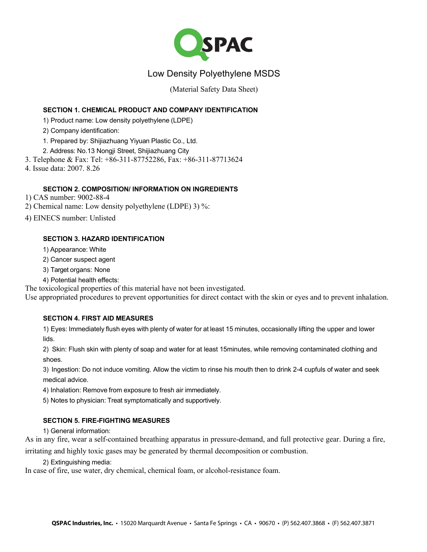

# Low Density Polyethylene MSDS

(Material Safety Data Sheet)

# **SECTION 1. CHEMICAL PRODUCT AND COMPANY IDENTIFICATION**

1) Product name: Low density polyethylene (LDPE)

2) Company identification:

1. Prepared by: Shijiazhuang Yiyuan Plastic Co., Ltd.

2. Address: No.13 Nongji Street, Shijiazhuang City

3. Telephone & Fax: Tel: +86-311-87752286, Fax: +86-311-87713624

4. Issue data: 2007. 8.26

# **SECTION 2. COMPOSITION/ INFORMATION ON INGREDIENTS**

1) CAS number: 9002-88-4

2) Chemical name: Low density polyethylene (LDPE) 3) %:

4) EINECS number: Unlisted

# **SECTION 3. HAZARD IDENTIFICATION**

1) Appearance: White

2) Cancer suspect agent

3) Target organs: None

4) Potential health effects:

The toxicological properties of this material have not been investigated.

Use appropriated procedures to prevent opportunities for direct contact with the skin or eyes and to prevent inhalation.

## **SECTION 4. FIRST AID MEASURES**

1) Eyes: Immediately flush eyes with plenty of water for at least 15 minutes, occasionally lifting the upper and lower lids.

2) Skin: Flush skin with plenty of soap and water for at least 15minutes, while removing contaminated clothing and shoes.

3) Ingestion: Do not induce vomiting. Allow the victim to rinse his mouth then to drink 2-4 cupfuls of water and seek medical advice.

4) Inhalation: Remove from exposure to fresh air immediately.

5) Notes to physician: Treat symptomatically and supportively.

## **SECTION 5. FIRE-FIGHTING MEASURES**

1) General information:

As in any fire, wear a self-contained breathing apparatus in pressure-demand, and full protective gear. During a fire,

irritating and highly toxic gases may be generated by thermal decomposition or combustion.

2) Extinguishing media:

In case of fire, use water, dry chemical, chemical foam, or alcohol-resistance foam.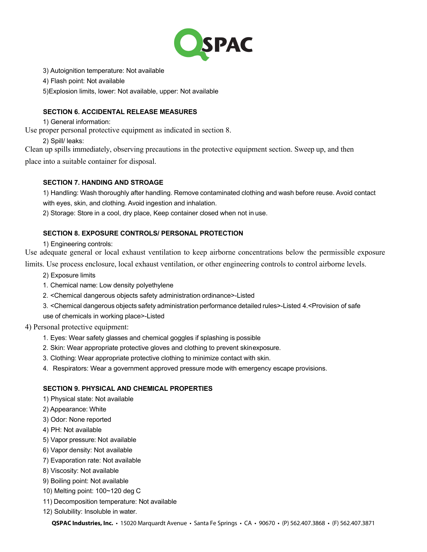

3) Autoignition temperature: Not available

4) Flash point: Not available

5)Explosion limits, lower: Not available, upper: Not available

# **SECTION 6. ACCIDENTAL RELEASE MEASURES**

1) General information:

Use proper personal protective equipment as indicated in section 8.

2) Spill/ leaks:

Clean up spills immediately, observing precautions in the protective equipment section. Sweep up, and then place into a suitable container for disposal.

#### **SECTION 7. HANDING AND STROAGE**

1) Handling: Wash thoroughly after handling. Remove contaminated clothing and wash before reuse. Avoid contact with eyes, skin, and clothing. Avoid ingestion and inhalation.

2) Storage: Store in a cool, dry place, Keep container closed when not in use.

#### **SECTION 8. EXPOSURE CONTROLS/ PERSONAL PROTECTION**

1) Engineering controls:

Use adequate general or local exhaust ventilation to keep airborne concentrations below the permissible exposure

limits. Use process enclosure, local exhaust ventilation, or other engineering controls to control airborne levels.

- 2) Exposure limits
- 1. Chemical name: Low density polyethylene
- 2. <Chemical dangerous objects safety administration ordinance>-Listed
- 3. <Chemical dangerous objects safety administration performance detailed rules>-Listed 4.<Provision of safe use of chemicals in working place>-Listed

4) Personal protective equipment:

- 1. Eyes: Wear safety glasses and chemical goggles if splashing is possible
- 2. Skin: Wear appropriate protective gloves and clothing to prevent skinexposure.
- 3. Clothing: Wear appropriate protective clothing to minimize contact with skin.
- 4. Respirators: Wear a government approved pressure mode with emergency escape provisions.

## **SECTION 9. PHYSICAL AND CHEMICAL PROPERTIES**

- 1) Physical state: Not available
- 2) Appearance: White
- 3) Odor: None reported
- 4) PH: Not available
- 5) Vapor pressure: Not available
- 6) Vapor density: Not available
- 7) Evaporation rate: Not available
- 8) Viscosity: Not available
- 9) Boiling point: Not available
- 10) Melting point: 100~120 deg C
- 11) Decomposition temperature: Not available
- 12) Solubility: Insoluble in water.

**QSPAC Industries, Inc.** • 15020 Marquardt Avenue • Santa Fe Springs • CA • 90670 • (P) 562.407.3868 • (F) 562.407.3871